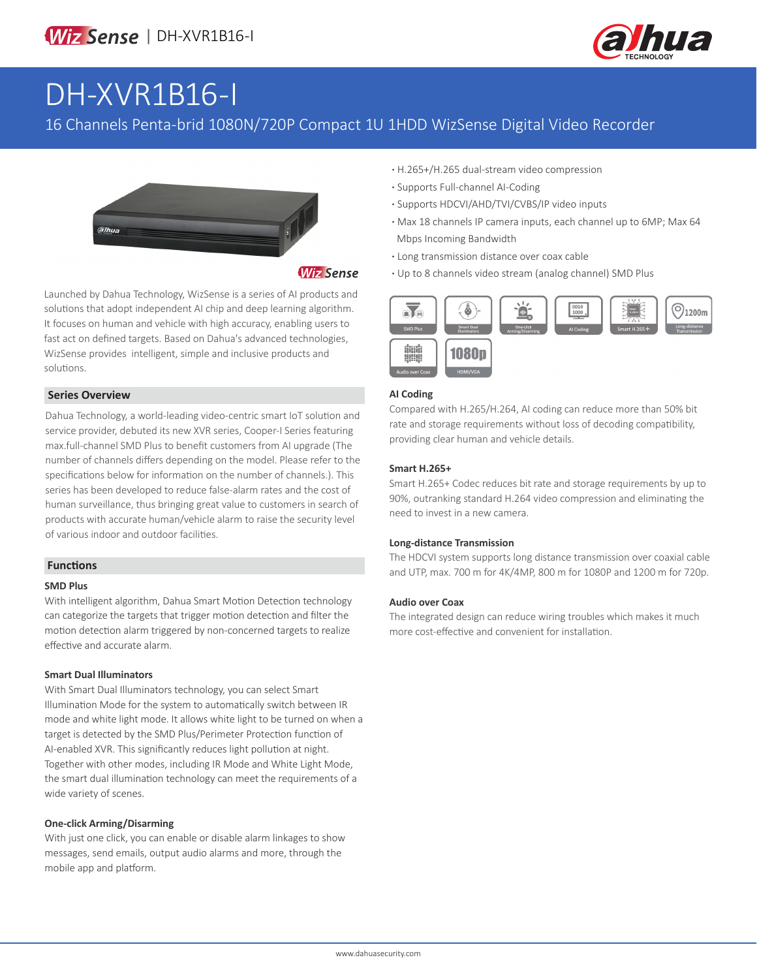

# DH-XVR1B16-I

## 16 Channels Penta-brid 1080N/720P Compact 1U 1HDD WizSense Digital Video Recorder



**Wiz Sense** 

Launched by Dahua Technology, WizSense is a series of AI products and solutions that adopt independent AI chip and deep learning algorithm. It focuses on human and vehicle with high accuracy, enabling users to fast act on defined targets. Based on Dahua's advanced technologies, WizSense provides intelligent, simple and inclusive products and solutions.

#### **Series Overview**

Dahua Technology, a world-leading video-centric smart IoT solution and service provider, debuted its new XVR series, Cooper-I Series featuring max.full-channel SMD Plus to benefit customers from AI upgrade (The number of channels differs depending on the model. Please refer to the specifications below for information on the number of channels.). This series has been developed to reduce false-alarm rates and the cost of human surveillance, thus bringing great value to customers in search of products with accurate human/vehicle alarm to raise the security level of various indoor and outdoor facilities.

#### **Functions**

#### **SMD Plus**

With intelligent algorithm, Dahua Smart Motion Detection technology can categorize the targets that trigger motion detection and filter the motion detection alarm triggered by non-concerned targets to realize effective and accurate alarm.

#### **Smart Dual Illuminators**

With Smart Dual Illuminators technology, you can select Smart Illumination Mode for the system to automatically switch between IR mode and white light mode. It allows white light to be turned on when a target is detected by the SMD Plus/Perimeter Protection function of AI-enabled XVR. This significantly reduces light pollution at night. Together with other modes, including IR Mode and White Light Mode, the smart dual illumination technology can meet the requirements of a wide variety of scenes.

#### **One-click Arming/Disarming**

With just one click, you can enable or disable alarm linkages to show messages, send emails, output audio alarms and more, through the mobile app and platform.

- **·** H.265+/H.265 dual-stream video compression
- **·** Supports Full-channel AI-Coding
- **·** Supports HDCVI/AHD/TVI/CVBS/IP video inputs
- **·** Max 18 channels IP camera inputs, each channel up to 6MP; Max 64 Mbps Incoming Bandwidth
- **·** Long transmission distance over coax cable
- **·** Up to 8 channels video stream (analog channel) SMD Plus



#### **AI Coding**

Compared with H.265/H.264, AI coding can reduce more than 50% bit rate and storage requirements without loss of decoding compatibility, providing clear human and vehicle details.

#### **Smart H.265+**

Smart H.265+ Codec reduces bit rate and storage requirements by up to 90%, outranking standard H.264 video compression and eliminating the need to invest in a new camera.

#### **Long-distance Transmission**

The HDCVI system supports long distance transmission over coaxial cable and UTP, max. 700 m for 4K/4MP, 800 m for 1080P and 1200 m for 720p.

#### **Audio over Coax**

The integrated design can reduce wiring troubles which makes it much more cost-effective and convenient for installation.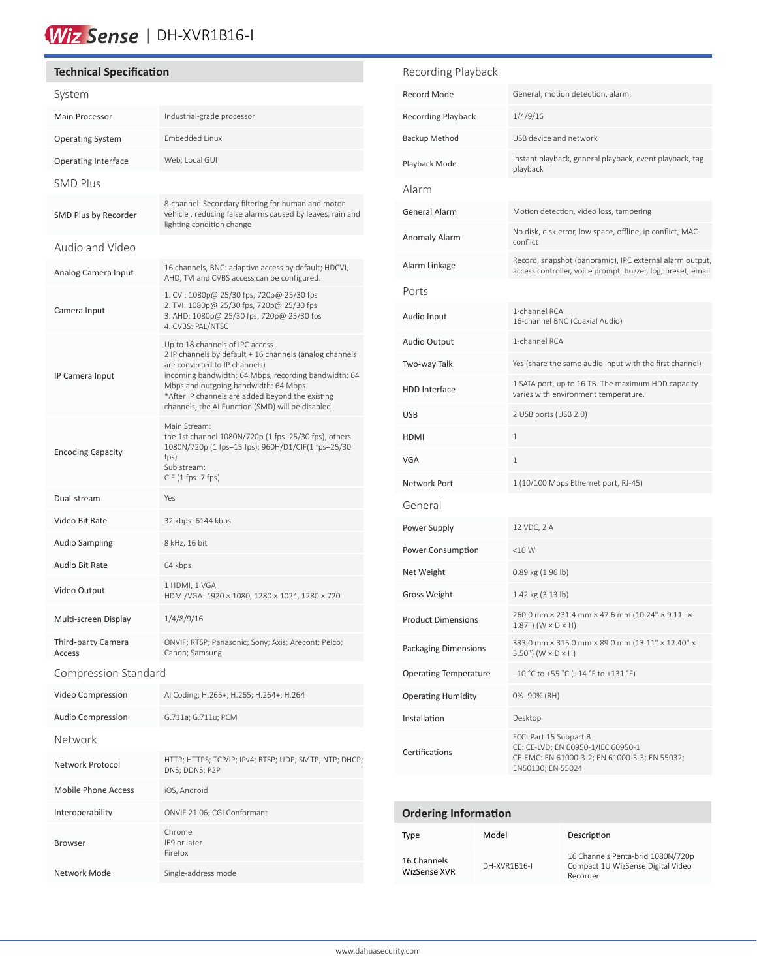# Wiz Sense | DH-XVR1B16-I

#### **Technical Specification**

| System                       |                                                                                                                                                                                                                                                                                                                                      |
|------------------------------|--------------------------------------------------------------------------------------------------------------------------------------------------------------------------------------------------------------------------------------------------------------------------------------------------------------------------------------|
| <b>Main Processor</b>        | Industrial-grade processor                                                                                                                                                                                                                                                                                                           |
| <b>Operating System</b>      | Embedded Linux                                                                                                                                                                                                                                                                                                                       |
| Operating Interface          | Web; Local GUI                                                                                                                                                                                                                                                                                                                       |
| SMD Plus                     |                                                                                                                                                                                                                                                                                                                                      |
| SMD Plus by Recorder         | 8-channel: Secondary filtering for human and motor<br>vehicle, reducing false alarms caused by leaves, rain and<br>lighting condition change                                                                                                                                                                                         |
| Audio and Video              |                                                                                                                                                                                                                                                                                                                                      |
| Analog Camera Input          | 16 channels, BNC: adaptive access by default; HDCVI,<br>AHD, TVI and CVBS access can be configured.                                                                                                                                                                                                                                  |
| Camera Input                 | 1. CVI: 1080p@ 25/30 fps, 720p@ 25/30 fps<br>2. TVI: 1080p@ 25/30 fps, 720p@ 25/30 fps<br>3. AHD: 1080p@ 25/30 fps, 720p@ 25/30 fps<br>4. CVBS: PAL/NTSC                                                                                                                                                                             |
| IP Camera Input              | Up to 18 channels of IPC access<br>2 IP channels by default + 16 channels (analog channels<br>are converted to IP channels)<br>incoming bandwidth: 64 Mbps, recording bandwidth: 64<br>Mbps and outgoing bandwidth: 64 Mbps<br>*After IP channels are added beyond the existing<br>channels, the AI Function (SMD) will be disabled. |
| <b>Encoding Capacity</b>     | Main Stream:<br>the 1st channel 1080N/720p (1 fps-25/30 fps), others<br>1080N/720p (1 fps-15 fps); 960H/D1/CIF(1 fps-25/30<br>fps)<br>Sub stream:<br>$CIF(1fps-7fps)$                                                                                                                                                                |
| Dual-stream                  | Yes                                                                                                                                                                                                                                                                                                                                  |
| Video Bit Rate               | 32 kbps-6144 kbps                                                                                                                                                                                                                                                                                                                    |
| <b>Audio Sampling</b>        | 8 kHz, 16 bit                                                                                                                                                                                                                                                                                                                        |
| Audio Bit Rate               | 64 kbps                                                                                                                                                                                                                                                                                                                              |
| Video Output                 | 1 HDMI, 1 VGA                                                                                                                                                                                                                                                                                                                        |
|                              | HDMI/VGA: 1920 × 1080, 1280 × 1024, 1280 × 720                                                                                                                                                                                                                                                                                       |
| Multi-screen Display         | 1/4/8/9/16                                                                                                                                                                                                                                                                                                                           |
| Third-party Camera<br>Access | ONVIF; RTSP; Panasonic; Sony; Axis; Arecont; Pelco;<br>Canon; Samsung                                                                                                                                                                                                                                                                |
| Compression Standard         |                                                                                                                                                                                                                                                                                                                                      |
| Video Compression            | Al Coding; H.265+; H.265; H.264+; H.264                                                                                                                                                                                                                                                                                              |
| Audio Compression            | G.711a; G.711u; PCM                                                                                                                                                                                                                                                                                                                  |
| Network                      |                                                                                                                                                                                                                                                                                                                                      |
| Network Protocol             | HTTP; HTTPS; TCP/IP; IPv4; RTSP; UDP; SMTP; NTP; DHCP;<br>DNS: DDNS: P2P                                                                                                                                                                                                                                                             |
| <b>Mobile Phone Access</b>   | iOS, Android                                                                                                                                                                                                                                                                                                                         |
| Interoperability             | ONVIF 21.06; CGI Conformant                                                                                                                                                                                                                                                                                                          |
| <b>Browser</b>               | Chrome<br>IE9 or later<br>Firefox                                                                                                                                                                                                                                                                                                    |

#### Recording Playback

| General, motion detection, alarm;                                                                                                  |
|------------------------------------------------------------------------------------------------------------------------------------|
| 1/4/9/16                                                                                                                           |
| USB device and network                                                                                                             |
| Instant playback, general playback, event playback, tag<br>playback                                                                |
|                                                                                                                                    |
| Motion detection, video loss, tampering                                                                                            |
| No disk, disk error, low space, offline, ip conflict, MAC<br>conflict                                                              |
| Record, snapshot (panoramic), IPC external alarm output,<br>access controller, voice prompt, buzzer, log, preset, email            |
|                                                                                                                                    |
| 1-channel RCA<br>16-channel BNC (Coaxial Audio)                                                                                    |
| 1-channel RCA                                                                                                                      |
| Yes (share the same audio input with the first channel)                                                                            |
| 1 SATA port, up to 16 TB. The maximum HDD capacity<br>varies with environment temperature.                                         |
| 2 USB ports (USB 2.0)                                                                                                              |
| 1                                                                                                                                  |
| 1                                                                                                                                  |
| 1 (10/100 Mbps Ethernet port, RJ-45)                                                                                               |
|                                                                                                                                    |
| 12 VDC, 2 A                                                                                                                        |
| $<$ 10 W                                                                                                                           |
| 0.89 kg (1.96 lb)                                                                                                                  |
| $1.42$ kg $(3.13$ lb)                                                                                                              |
| 260.0 mm × 231.4 mm × 47.6 mm (10.24" × 9.11" ×<br>$1.87$ ") (W $\times$ D $\times$ H)                                             |
| 333.0 mm × 315.0 mm × 89.0 mm (13.11" × 12.40" ×<br>$3.50$ ") (W $\times$ D $\times$ H)                                            |
| $-10$ °C to +55 °C (+14 °F to +131 °F)                                                                                             |
| 0%-90% (RH)                                                                                                                        |
| Desktop                                                                                                                            |
| FCC: Part 15 Subpart B<br>CE: CE-LVD: EN 60950-1/IEC 60950-1<br>CE-EMC: EN 61000-3-2; EN 61000-3-3; EN 55032;<br>EN50130; EN 55024 |
|                                                                                                                                    |

### **Ordering Information**

| Type                        | Model        | Description                                                                        |
|-----------------------------|--------------|------------------------------------------------------------------------------------|
| 16 Channels<br>WizSense XVR | DH-XVR1B16-L | 16 Channels Penta-brid 1080N/720p<br>Compact 1U WizSense Digital Video<br>Recorder |